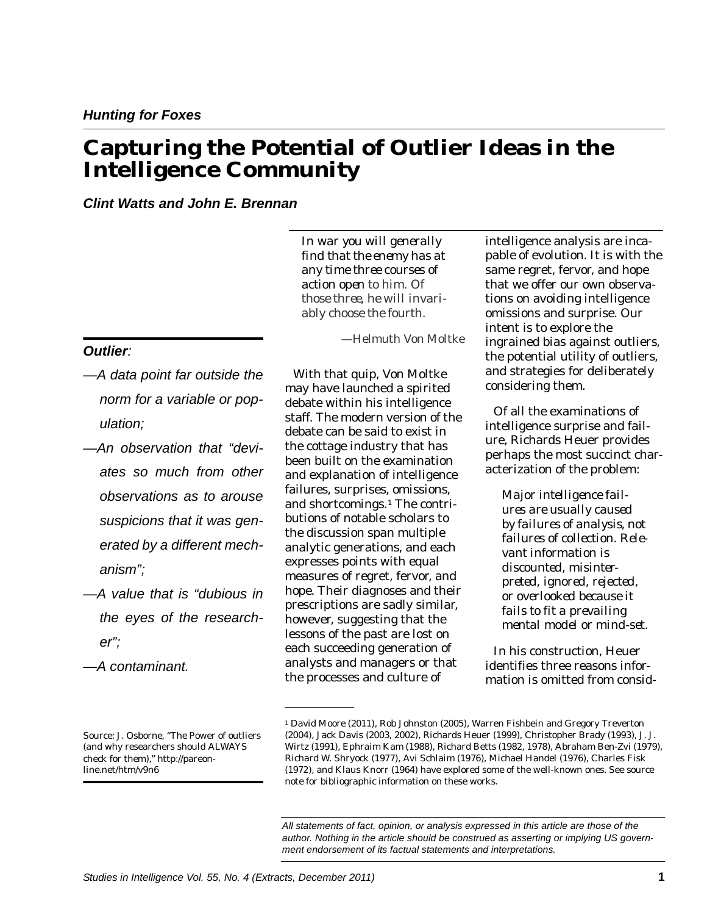# **Capturing the Potential of Outlier Ideas in the Intelligence Community**

*Clint Watts and John E. Brennan*

*In war you will generally find that the enemy has at any time three courses of action open to him. Of those three, he will invariably choose the fourth.* 

—Helmuth Von Moltke

*Outlier:* 

- *—A data point far outside the norm for a variable or population;*
- *—An observation that "deviates so much from other observations as to arouse suspicions that it was generated by a different mechanism";*
- *—A value that is "dubious in the eyes of the researcher";*
- *—A contaminant.*

Source: J. Osborne, "The Power of outliers (and why researchers should ALWAYS check for them),"<http://pareon>[line.net/htm/v9n6](https://line.net/htm/v9n6) 

With that quip, Von Moltke may have launched a spirited debate within his intelligence staff. The modern version of the debate can be said to exist in the cottage industry that has been built on the examination and explanation of intelligence failures, surprises, omissions, and shortcomings.<sup>1</sup> The contributions of notable scholars to the discussion span multiple analytic generations, and each expresses points with equal measures of regret, fervor, and hope. Their diagnoses and their prescriptions are sadly similar, however, suggesting that the lessons of the past are lost on each succeeding generation of analysts and managers or that the processes and culture of

intelligence analysis are incapable of evolution. It is with th e same regret, fervor, and hope that we offer our own observations on avoiding intelligence omissions and surprise. Our intent is to explore the ingrained bias against outliers , the potential utility of outliers , and strategies for deliberately considering them.

Of all the examinations of intelligence surprise and failure, Richards Heuer provides perhaps the most succinct characterization of the problem:

*Major intelligence failures are usually caused by failures of analysis, not failures of collection. Relevant information is discounted, misinterpreted, ignored, rejected, or overlooked because it fails to fit a prevailing mental model or mind-set.* 

In his construction, Heuer identifies three reasons information is omitted from consid-

 *All statements of fact, opinion, or analysis expressed in this article are those of the*  author. Nothing in the article should be construed as asserting or implying US govern*ment endorsement of its factual statements and interpretations.* 

<sup>1</sup> David Moore (2011), Rob Johnston (2005), Warren Fishbein and Gregory Treverton (2004), Jack Davis (2003, 2002), Richards Heuer (1999), Christopher Brady (1993), J. J. Wirtz (1991), Ephraim Kam (1988), Richard Betts (1982, 1978), Abraham Ben-Zvi (1979), Richard W. Shryock (1977), Avi Schlaim (1976), Michael Handel (1976), Charles Fisk (1972), and Klaus Knorr (1964) have explored some of the well-known ones. See source note for bibliographic information on these works.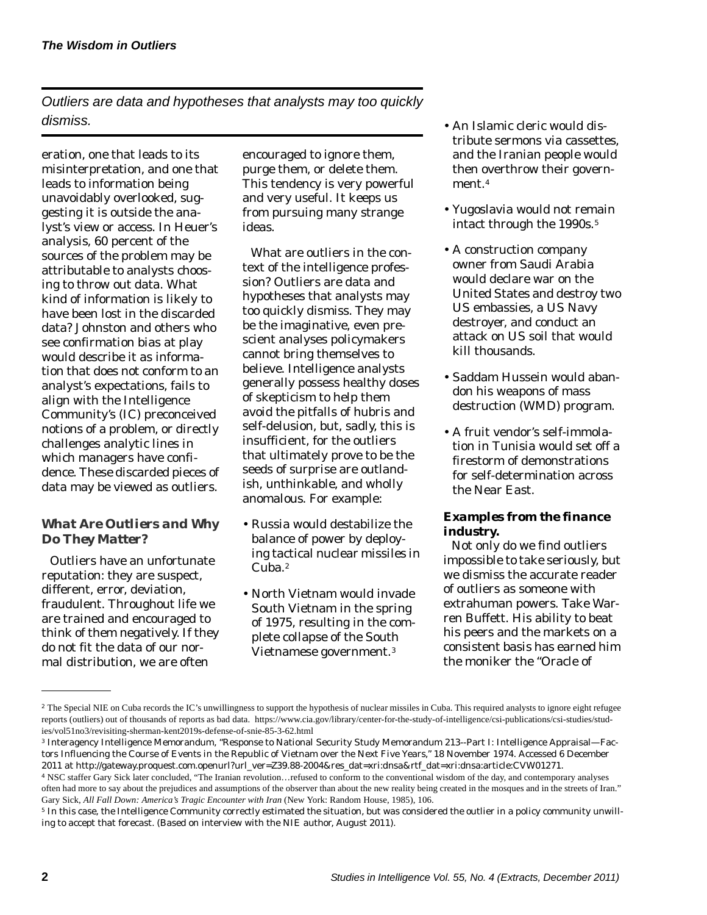*Outliers are data and hypotheses that analysts may too quickly dismiss.* 

eration, one that leads to its misinterpretation, and one that leads to information being unavoidably overlooked, suggesting it is outside the analyst's view or access. In Heuer's analysis, 60 percent of the sources of the problem may be attributable to analysts choosing to throw out data. What kind of information is likely to have been lost in the discarded data? Johnston and others who see confirmation bias at play would describe it as information that does not conform to an analyst's expectations, fails to align with the Intelligence Community's (IC) preconceived notions of a problem, or directly challenges analytic lines in which managers have confidence. These discarded pieces of data may be viewed as outliers.

# *What Are Outliers and Why Do They Matter?*

Outliers have an unfortunate reputation: they are suspect, different, error, deviation, fraudulent. Throughout life we are trained and encouraged to think of them negatively. If they do not fit the data of our normal distribution, we are often

encouraged to ignore them, purge them, or delete them. This tendency is very powerful and very useful. It keeps us from pursuing many strange ideas.

What are outliers in the context of the intelligence profession? Outliers are data and hypotheses that analysts may too quickly dismiss. They may be the imaginative, even prescient analyses policymakers cannot bring themselves to believe. Intelligence analysts generally possess healthy doses of skepticism to help them avoid the pitfalls of hubris and self-delusion, but, sadly, this is insufficient, for the outliers that ultimately prove to be the seeds of surprise are outlandish, unthinkable, and wholly anomalous. For example:

- Russia would destabilize the balance of power by deploying tactical nuclear missiles in Cuba.<sup>2</sup>
- North Vietnam would invad e South Vietnam in the spring of 1975, resulting in the com plete collapse of the South Vietnamese government.3
- An Islamic cleric would distribute sermons via cassettes, and the Iranian people would then overthrow their government.4
- Yugoslavia would not remain intact through the 1990s.<sup>5</sup>
- A construction company owner from Saudi Arabia would declare war on the United States and destroy two US embassies, a US Navy destroyer, and conduct an attack on US soil that would kill thousands.
- Saddam Hussein would abandon his weapons of mass destruction (WMD) program.
- A fruit vendor's self-immolation in Tunisia would set off a firestorm of demonstrations for self-determination across the Near East.

# *Examples from the finance industry.*

Not only do we find outliers impossible to take seriously, but we dismiss the accurate reader of outliers as someone with extrahuman powers. Take Warren Buffett. His ability to beat his peers and the markets on a consistent basis has earned him the moniker the "Oracle of

<sup>&</sup>lt;sup>2</sup> The Special NIE on Cuba records the IC's unwillingness to support the hypothesis of nuclear missiles in Cuba. This required analysts to ignore eight refugee reports (outliers) out of thousands of reports as bad data. [https://www.cia.gov/library/center-for-the-study-of-intelligence/csi-publications/csi-studies/stud](https://www.cia.gov/library/center-for-the-study-of-intelligence/csi-publications/csi-studies/studies/vol51no3/revisiting-sherman-kent2019s-defense-of-snie-85-3-62.html)[ies/vol51no3/revisiting-sherman-kent2019s-defense-of-snie-85-3-62.html](https://www.cia.gov/library/center-for-the-study-of-intelligence/csi-publications/csi-studies/studies/vol51no3/revisiting-sherman-kent2019s-defense-of-snie-85-3-62.html) 

<sup>3</sup> Interagency Intelligence Memorandum, "Response to National Security Study Memorandum 213--Part I: Intelligence Appraisal—Factors Influencing the Course of Events in the Republic of Vietnam over the Next Five Years," 18 November 1974. Accessed 6 December 2011 at [http://gateway.proquest.com.openurl?url\\_ver=Z39.88-2004&res\\_dat=xri:dnsa&rtf\\_dat=xri:dnsa:article:CVW01271.](http://gateway.proquest.com.openurl?url_ver=Z39.88-2004&res_dat=xri:dnsa&rtf_dat=xri:dnsa:article:CVW01271)<br>4 NSC staffer Gary Sick later concluded, "The Iranian revolution...refused to conform to the conventional

often had more to say about the prejudices and assumptions of the observer than about the new reality being created in the mosques and in the streets of Iran." Gary Sick, *All Fall Down: America's Tragic Encounter with Iran* (New York: Random House, 1985), 106.

<sup>5</sup> In this case, the Intelligence Community correctly estimated the situation, but was considered the outlier in a policy community unwilling to accept that forecast. (Based on interview with the NIE author, August 2011).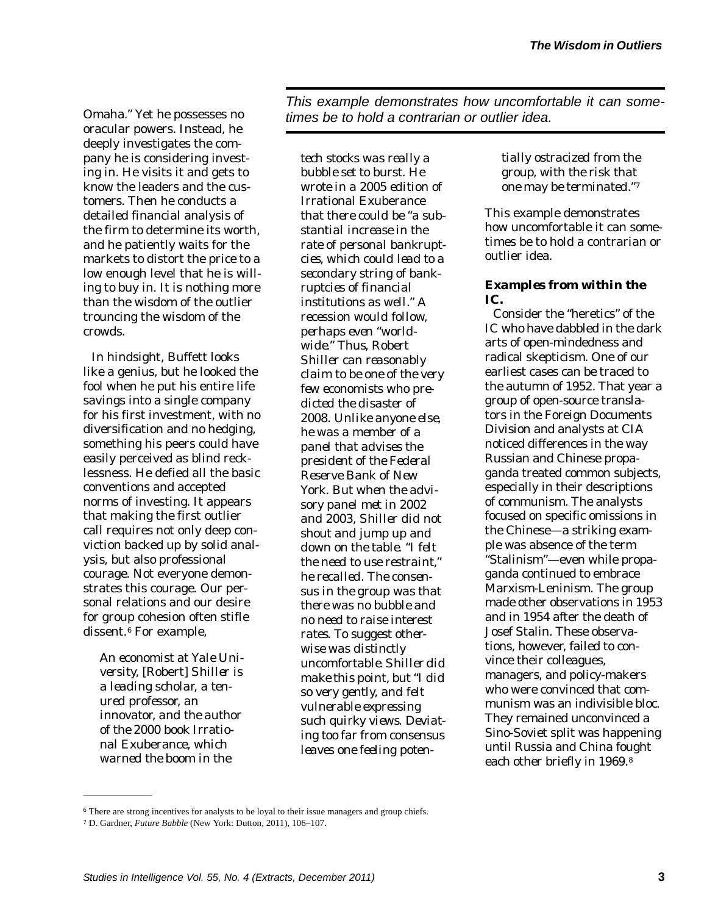Omaha." Yet he possesses no oracular powers. Instead, he deeply investigates the company he is considering investing in. He visits it and gets to know the leaders and the customers. Then he conducts a detailed financial analysis of the firm to determine its worth, and he patiently waits for the markets to distort the price to a low enough level that he is willing to buy in. It is nothing more than the wisdom of the outlier trouncing the wisdom of the crowds.

In hindsight, Buffett looks like a genius, but he looked the fool when he put his entire life savings into a single company for his first investment, with no diversification and no hedging, something his peers could have easily perceived as blind recklessness. He defied all the basic conventions and accepted norms of investing. It appears that making the first outlier call requires not only deep conviction backed up by solid analysis, but also professional courage. Not everyone demonstrates this courage. Our personal relations and our desire for group cohesion often stifle dissent.<sup>6</sup> For example,

*An economist at Yale University,* [Robert] *Shiller is a leading scholar, a tenured professor, an innovator, and the author of the 2000 book* Irrational Exuberance*, which warned the boom in the* 

*This example demonstrates how uncomfortable it can sometimes be to hold a contrarian or outlier idea.* 

*tech stocks was really a bubble set to burst. He wrote in a 2005 edition of*  Irrational Exuberance *that there could be "a substantial increase in the rate of personal bankruptcies, which could lead to a secondary string of bankruptcies of financial institutions as well." A recession would follow, perhaps even "worldwide." Thus, Robert Shiller can reasonably claim to be one of the very few economists who predicted the disaster of 2008. Unlike anyone else, he was a member of a panel that advises the president of the Federal Reserve Bank of New York. But when the advisory panel met in 2002 and 2003, Shiller did not shout and jump up and down on the table. "I felt the need to use restraint," he recalled. The consensus in the group was that there was no bubble and no need to raise interest rates. To suggest otherwise was distinctly uncomfortable. Shiller did make this point, but "I did so very gently, and felt vulnerable expressing such quirky views. Deviating too far from consensus leaves one feeling poten-* *tially ostracized from the group, with the risk that one may be terminated."7* 

This example demonstrates how uncomfortable it can sometimes be to hold a contrarian or outlier idea.

## *Examples from within the IC.*

Consider the "heretics" of the IC who have dabbled in the dark arts of open-mindedness and radical skepticism. One of our earliest cases can be traced to the autumn of 1952. That year a group of open-source translators in the Foreign Documents Division and analysts at CIA noticed differences in the way Russian and Chinese propaganda treated common subjects, especially in their descriptions of communism. The analysts focused on specific omissions in the Chinese—a striking example was absence of the term "Stalinism"—even while propaganda continued to embrace Marxism-Leninism. The group made other observations in 1953 and in 1954 after the death of Josef Stalin. These observations, however, failed to convince their colleagues, managers, and policy-makers who were convinced that communism was an indivisible bloc. They remained unconvinced a Sino-Soviet split was happening until Russia and China fought each other briefly in 1969.8

<sup>&</sup>lt;sup>6</sup> There are strong incentives for analysts to be loyal to their issue managers and group chiefs.

<sup>7</sup>D. Gardner, *Future Babble* (New York: Dutton, 2011), 106–107.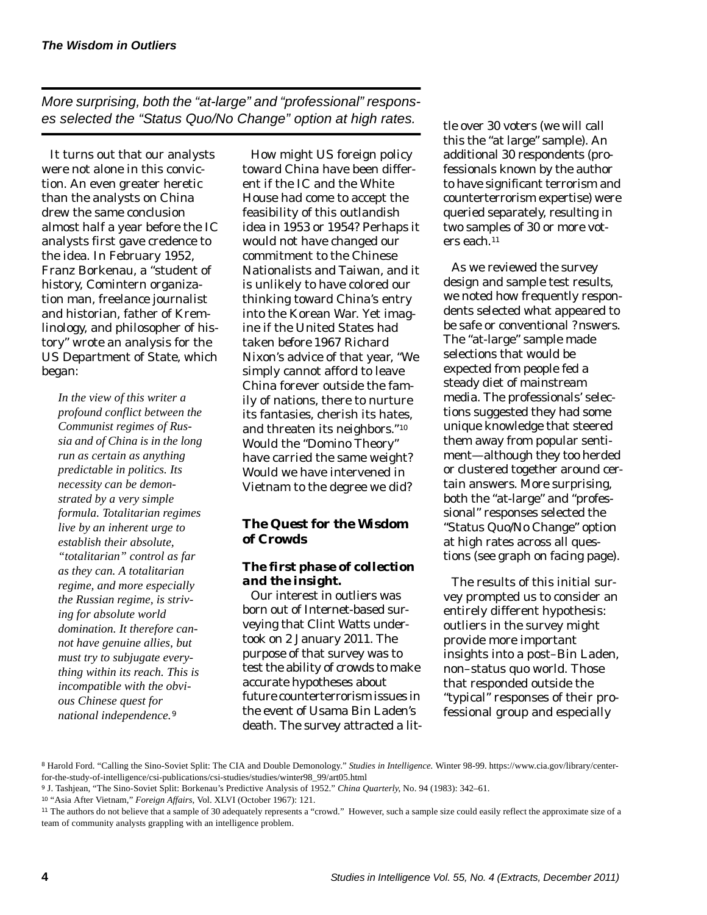*More surprising, both the "at-large" and "professional" responses selected the "Status Quo/No Change" option at high rates.* 

It turns out that our analysts were not alone in this conviction. An even greater heretic than the analysts on China drew the same conclusion almost half a year before the IC analysts first gave credence to the idea. In February 1952, Franz Borkenau, a "student of history, Comintern organization man, freelance journalist and historian, father of Kremlinology, and philosopher of history" wrote an analysis for the US Department of State, which began:

*In the view of this writer a profound conflict between the Communist regimes of Russia and of China is in the long run as certain as anything predictable in politics. Its necessity can be demonstrated by a very simple formula. Totalitarian regimes live by an inherent urge to establish their absolute, "totalitarian" control as far as they can. A totalitarian regime, and more especially the Russian regime, is striving for absolute world domination. It therefore cannot have genuine allies, but must try to subjugate everything within its reach. This is incompatible with the obvious Chinese quest for national independence.<sup>9</sup>*

How might US foreign policy toward China have been different if the IC and the White House had come to accept the feasibility of this outlandish idea in 1953 or 1954? Perhaps it would not have changed our commitment to the Chinese Nationalists and Taiwan, and it is unlikely to have colored our thinking toward China's entry into the Korean War. Yet imagine if the United States had taken *before* 1967 Richard Nixon's advice of that year, "We simply cannot afford to leave China forever outside the family of nations, there to nurture its fantasies, cherish its hates, and threaten its neighbors."10 Would the "Domino Theory" have carried the same weight? Would we have intervened in Vietnam to the degree we did?

# *The Quest for the Wisdom of Crowds*

# *The first phase of collection and the insight.*

Our interest in outliers was born out of Internet-based surveying that Clint Watts undertook on 2 January 2011. The purpose of that survey was to test the ability of crowds to make accurate hypotheses about future counterterrorism issues in the event of Usama Bin Laden's death. The survey attracted a little over 30 voters (we will call this the "at large" sample). An additional 30 respondents (professionals known by the author to have significant terrorism and counterterrorism expertise) were queried separately, resulting in two samples of 30 or more voters each.11

As we reviewed the survey design and sample test results, we noted how frequently respondents selected what appeared to be safe or conventional ?nswers. The "at-large" sample made selections that would be expected from people fed a steady diet of mainstream media. The professionals' selections suggested they had some unique knowledge that steered them away from popular sentiment—although they too herded or clustered together around certain answers. More surprising, both the "at-large" and "professional" responses selected the "Status Quo/No Change" option at high rates across all questions (see graph on facing page).

The results of this initial survey prompted us to consider an entirely different hypothesis: outliers in the survey might provide more important insights into a post–Bin Laden, non–status quo world. Those that responded outside the "typical" responses of their professional group and especially

<sup>8</sup> Harold Ford. "Calling the Sino-Soviet Split: The CIA and Double Demonology." *Studies in Intelligence.* Winter 98-99. [https://www.cia.gov/library/center](https://www.cia.gov/library/center-for-the-study-of-intelligence/csi-publications/csi-studies/studies/winter98_99/art05.html)[for-the-study-of-intelligence/csi-publications/csi-studies/studies/winter98\\_99/art05.html](https://www.cia.gov/library/center-for-the-study-of-intelligence/csi-publications/csi-studies/studies/winter98_99/art05.html)

<sup>9</sup>J. Tashjean, "The Sino-Soviet Split: Borkenau's Predictive Analysis of 1952." *China Quarterly*, No. 94 (1983): 342–61.

<sup>10</sup> "Asia After Vietnam," *Foreign Affairs*, Vol. XLVI (October 1967): 121.

<sup>&</sup>lt;sup>11</sup> The authors do not believe that a sample of 30 adequately represents a "crowd." However, such a sample size could easily reflect the approximate size of a team of community analysts grappling with an intelligence problem.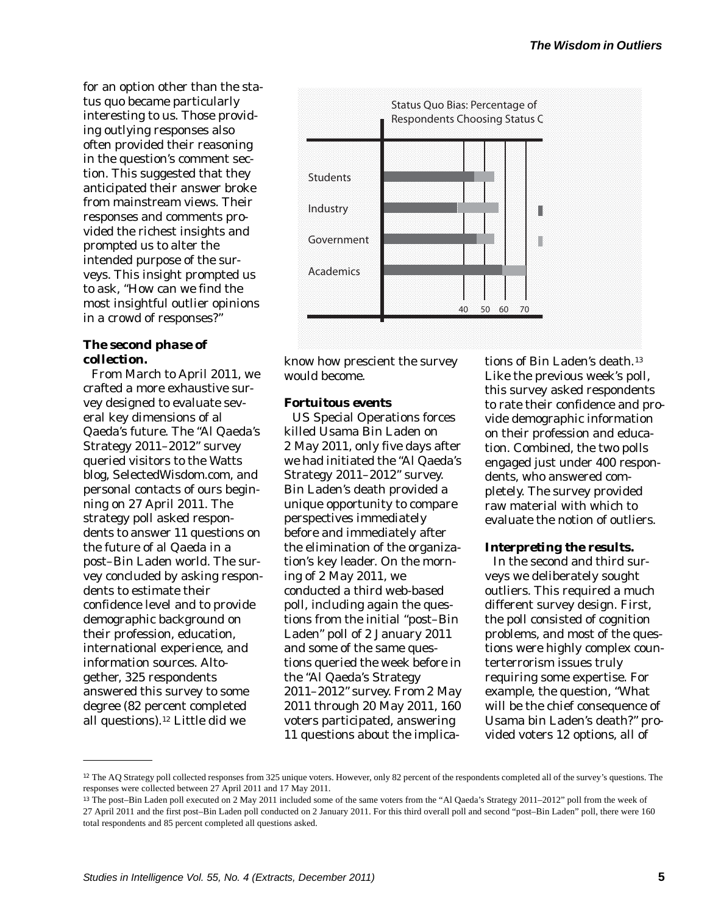for an option other than the status quo became particularly interesting to us. Those providing outlying responses also often provided their reasoning in the question's comment section. This suggested that they anticipated their answer broke from mainstream views. Their responses and comments provided the richest insights and prompted us to alter the intended purpose of the surveys. This insight prompted us to ask, "How can we find the most insightful outlier opinions in a crowd of responses?"

## *The second phase of collection.*

From March to April 2011, we crafted a more exhaustive survey designed to evaluate several key dimensions of al Qaeda's future. The "Al Qaeda's Strategy 2011–2012" survey queried visitors to the Watts blog, [SelectedWisdom.com](https://SelectedWisdom.com), and personal contacts of ours beginning on 27 April 2011. The strategy poll asked respondents to answer 11 questions on the future of al Qaeda in a post–Bin Laden world. The survey concluded by asking respondents to estimate their confidence level and to provide demographic background on their profession, education, international experience, and information sources. Altogether, 325 respondents answered this survey to some degree (82 percent completed all [questions\).](https://questions).12)<sup>[12](https://questions).12)</sup> Little did we



know how prescient the survey would become.

#### *Fortuitous events*

US Special Operations forces killed Usama Bin Laden on 2 May 2011, only five days after we had initiated the "Al Qaeda's Strategy 2011–2012" survey. Bin Laden's death provided a unique opportunity to compare perspectives immediately before and immediately after the elimination of the organization's key leader. On the morning of 2 May 2011, we conducted a third web-based poll, including again the questions from the initial "post–Bin Laden" poll of 2 January 2011 and some of the same questions queried the week before in the "Al Qaeda's Strategy 2011–2012" survey. From 2 May 2011 through 20 May 2011, 160 voters participated, answering 11 questions about the implica-

tions of Bin Laden's [death.](https://death.13) 13 Like the previous week's poll, this survey asked respondents to rate their confidence and provide demographic information on their profession and education. Combined, the two polls engaged just under 400 respondents, who answered completely. The survey provided raw material with which to evaluate the notion of outliers.

#### *Interpreting the results.*

In the second and third surveys we deliberately sought outliers. This required a much different survey design. First, the poll consisted of cognition problems, and most of the questions were highly complex counterterrorism issues truly requiring some expertise. For example, the question, "What will be the chief consequence of Usama bin Laden's death?" provided voters 12 options, all of

<sup>&</sup>lt;sup>12</sup> The AQ Strategy poll collected responses from 325 unique voters. However, only 82 percent of the respondents completed all of the survey's questions. The responses were collected between 27 April 2011 and 17 May 2011.

<sup>13</sup>The post–Bin Laden poll executed on 2 May 2011 included some of the same voters from the "Al Qaeda's Strategy 2011–2012" poll from the week of 27 April 2011 and the first post–Bin Laden poll conducted on 2 January 2011. For this third overall poll and second "post–Bin Laden" poll, there were 160 total respondents and 85 percent completed all questions asked.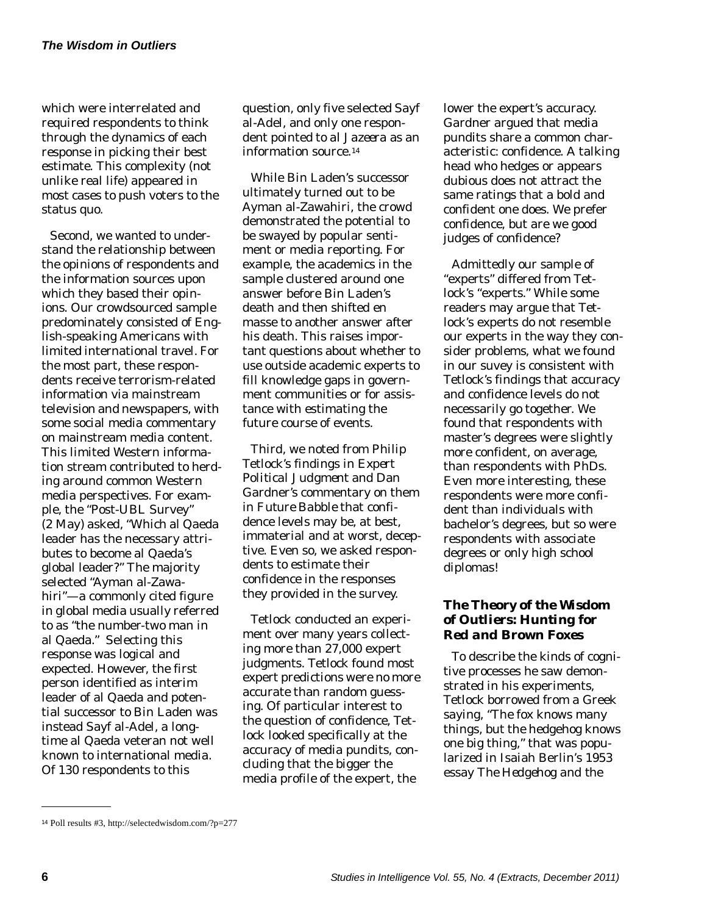which were interrelated and required respondents to think through the dynamics of each response in picking their best estimate. This complexity (not unlike real life) appeared in most cases to push voters to the status quo.

Second, we wanted to understand the relationship between the opinions of respondents and the information sources upon which they based their opinions. Our crowdsourced sample predominately consisted of English-speaking Americans with limited international travel. For the most part, these respondents receive terrorism-related information via mainstream television and newspapers, with some social media commentary on mainstream media content. This limited Western information stream contributed to herding around common Western media perspectives. For example, the "Post-UBL Survey" (2 May) asked, "Which al Qaeda leader has the necessary attributes to become al Qaeda's global leader?" The majority selected "Ayman al-Zawahiri"—a commonly cited figure in global media usually referred to as "the number-two man in al Qaeda." Selecting this response was logical and expected. However, the first person identified as interim leader of al Qaeda and potential successor to Bin Laden was instead Sayf al-Adel, a longtime al Qaeda veteran not well known to international media. Of 130 respondents to this

question, only five selected Sayf al-Adel, and only one respondent pointed to *al Jazeera* as an information [source.14](https://source.14)

While Bin Laden's successor ultimately turned out to be Ayman al-Zawahiri, the crowd demonstrated the potential to be swayed by popular sentiment or media reporting. For example, the academics in the sample clustered around one answer before Bin Laden's death and then shifted en masse to another answer after his death. This raises important questions about whether to use outside academic experts to fill knowledge gaps in government communities or for assistance with estimating the future course of events.

Third, we noted from Philip Tetlock's findings in *Expert Political Judgment* and Dan Gardner's commentary on them in *Future Babble* that confidence levels may be, at best, immaterial and at worst, deceptive. Even so, we asked respondents to estimate their confidence in the responses they provided in the survey.

Tetlock conducted an experiment over many years collecting more than 27,000 expert judgments. Tetlock found most expert predictions were no more accurate than random guessing. Of particular interest to the question of confidence, Tetlock looked specifically at the accuracy of media pundits, concluding that the bigger the media profile of the expert, the

lower the expert's accuracy. Gardner argued that media pundits share a common characteristic: confidence. A talking head who hedges or appears dubious does not attract the same ratings that a bold and confident one does. We prefer confidence, but are we good judges of confidence?

Admittedly our sample of "experts" differed from Tetlock's "experts." While some readers may argue that Tetlock's experts do not resemble our experts in the way they consider problems, what we found in our suvey is consistent with Tetlock's findings that accuracy and confidence levels do not necessarily go together. We found that respondents with master's degrees were slightly more confident, on average, than respondents with PhDs. Even more interesting, these respondents were more confident than individuals with bachelor's degrees, but so were respondents with associate degrees or only high school diplomas!

# *The Theory of the Wisdom of Outliers: Hunting for Red and Brown Foxes*

To describe the kinds of cognitive processes he saw demonstrated in his experiments, Tetlock borrowed from a Greek saying, "The fox knows many things, but the hedgehog knows one big thing," that was popularized in Isaiah Berlin's 1953 essay *The Hedgehog and the* 

<sup>14</sup> Poll results #3,<http://selectedwisdom.com/?p=277>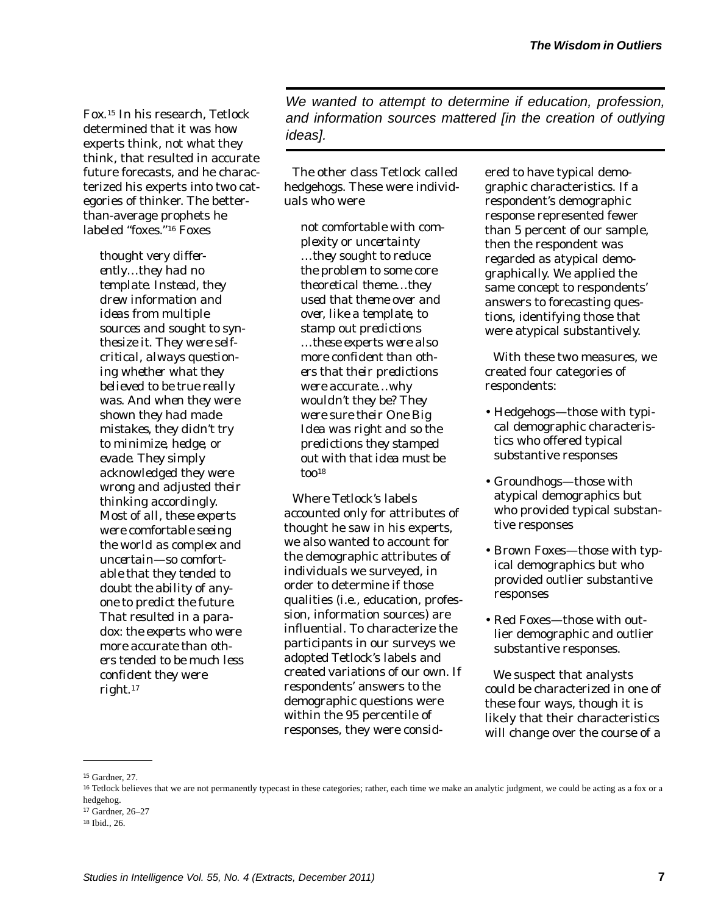*Fox*. In his research, Tetlock 15 determined that it was *how*  experts think, not *what* they think, that resulted in accurate future forecasts, and he characterized his experts into two categories of thinker. The betterthan-average prophets he labeled "foxes."<sup>16</sup> Foxes

*thought very differently…they had no template. Instead, they drew information and ideas from multiple sources and sought to synthesize it. They were selfcritical, always questioning whether what they believed to be true really was. And when they were shown they had made mistakes, they didn't try to minimize, hedge, or evade. They simply acknowledged they were wrong and adjusted their thinking accordingly. Most of all, these experts were comfortable seeing the world as complex and uncertain—so comfortable that they tended to doubt the ability of anyone to predict the future. That resulted in a paradox: the experts who were more accurate than others tended to be much less confident they were [right.17](https://right.17)* 

*We wanted to attempt to determine if education, profession, and information sources mattered [in the creation of outlying ideas].* 

The other class Tetlock called hedgehogs. These were individuals who were

*not comfortable with complexity or uncertainty …they sought to reduce the problem to some core theoretical theme…they used that theme over and over, like a template, to stamp out predictions …these experts were also more confident than others that their predictions were accurate…why wouldn't they be? They were sure their One Big Idea was right and so the predictions they stamped out with that idea must be too18* 

Where Tetlock's labels accounted only for attributes of thought he saw in his experts, we also wanted to account for the demographic attributes of individuals we surveyed, in order to determine if those qualities (i.e., education, profession, information sources) are influential. To characterize the participants in our surveys we adopted Tetlock's labels and created variations of our own. If respondents' answers to the demographic questions were within the 95 percentile of responses, they were consid-

ered to have typical demographic characteristics. If a respondent's demographic response represented fewer than 5 percent of our sample, then the respondent was regarded as atypical demographically. We applied the same concept to respondents' answers to forecasting questions, identifying those that were atypical substantively.

With these two measures, we created four categories of respondents:

- Hedgehogs—those with typical demographic characteristics who offered typical substantive responses
- Groundhogs—those with atypical demographics but who provided typical substan tive responses
- Brown Foxes—those with typical demographics but who provided outlier substantive responses
- Red Foxes—those with outlier demographic and outlier substantive responses.

We suspect that analysts could be characterized in one of these four ways, though it is likely that their characteristics will change over the course of a

<sup>&</sup>lt;sup>15</sup> Gardner, 27.

<sup>&</sup>lt;sup>16</sup> Tetlock believes that we are not permanently typecast in these categories; rather, each time we make an analytic judgment, we could be acting as a fox or a hedgehog.

<sup>17</sup>Gardner, 26–27

<sup>&</sup>lt;sup>18</sup> Ibid., 26.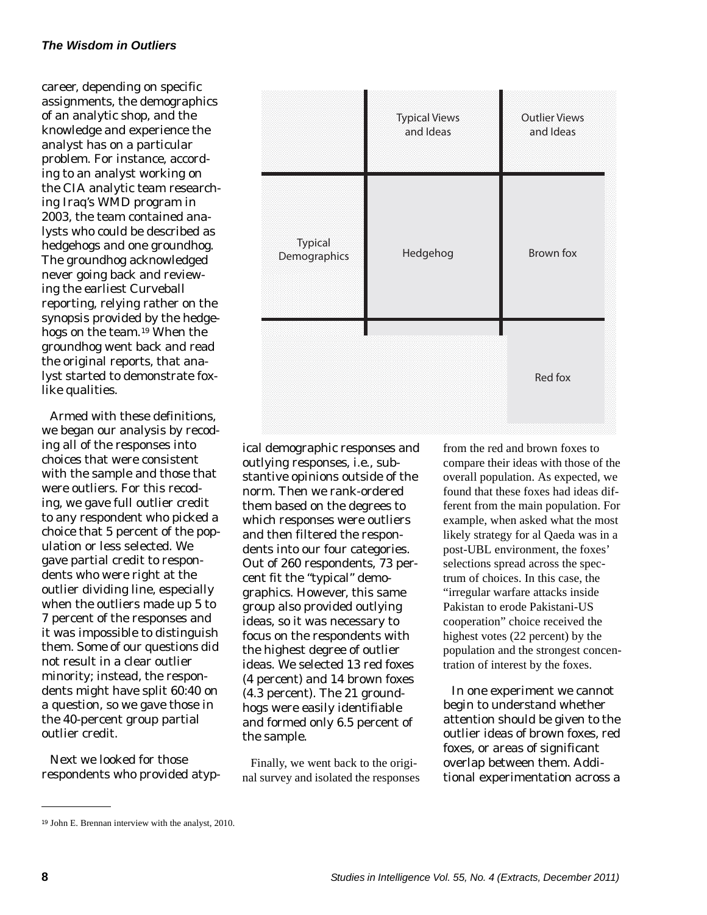career, depending on specific assignments, the demographics of an analytic shop, and the knowledge and experience the analyst has on a particular problem. For instance, according to an analyst working on the CIA analytic team researching Iraq's WMD program in 2003, the team contained analysts who could be described as hedgehogs and one groundhog. The groundhog acknowledged never going back and reviewing the earliest Curveball reporting, relying rather on the synopsis provided by the hedgehogs on the team. 19 When the groundhog went back and read the original reports, that analyst started to demonstrate foxlike qualities.

Armed with these definitions, we began our analysis by recoding all of the responses into choices that were consistent with the sample and those that were outliers. For this recoding, we gave full outlier credit to any respondent who picked a choice that 5 percent of the population or less selected. We gave partial credit to respondents who were right at the outlier dividing line, especially when the outliers made up 5 to 7 percent of the responses and it was impossible to distinguish them. Some of our questions did not result in a clear outlier minority; instead, the respondents might have split 60:40 on a question, so we gave those in the 40-percent group partial outlier credit.

Next we looked for those respondents who provided atyp-



Finally, we went back to the original survey and isolated the responses from the red and brown foxes to compare their ideas with those of the overall population. As expected, we found that these foxes had ideas different from the main population. For example, when asked what the most likely strategy for al Qaeda was in a post-UBL environment, the foxes' selections spread across the spectrum of choices. In this case, the "irregular warfare attacks inside Pakistan to erode Pakistani-US cooperation" choice received the highest votes (22 percent) by the population and the strongest concentration of interest by the foxes.

In one experiment we cannot begin to understand whether attention should be given to the outlier ideas of brown foxes, red foxes, or areas of significant overlap between them. Additional experimentation across a



<sup>&</sup>lt;sup>19</sup> John E. Brennan interview with the analyst, 2010.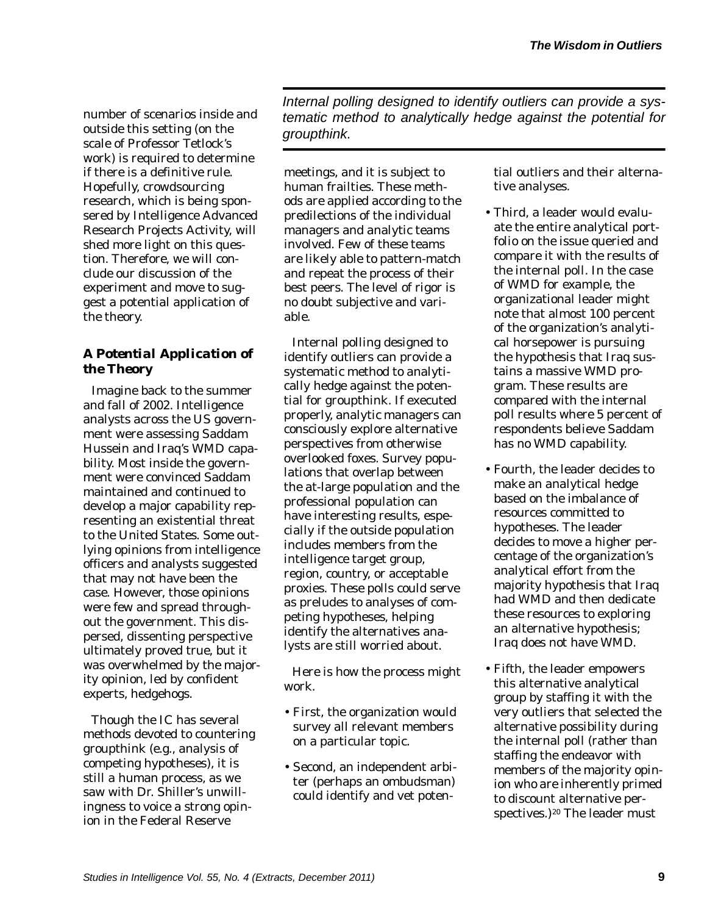number of scenarios inside and outside this setting (on the scale of Professor Tetlock's work) is required to determine if there is a definitive rule. Hopefully, crowdsourcing research, which is being sponsered by Intelligence Advanced Research Projects Activity, will shed more light on this question. Therefore, we will conclude our discussion of the experiment and move to suggest a potential application of the theory.

# *A Potential Application of the Theory*

Imagine back to the summer and fall of 2002. Intelligence analysts across the US government were assessing Saddam Hussein and Iraq's WMD capability. Most inside the government were convinced Saddam maintained and continued to develop a major capability representing an existential threat to the United States. Some outlying opinions from intelligence officers and analysts suggested that may not have been the case. However, those opinions were few and spread throughout the government. This dispersed, dissenting perspective ultimately proved true, but it was overwhelmed by the majority opinion, led by confident experts, hedgehogs.

Though the IC has several methods devoted to countering groupthink (e.g., analysis of competing hypotheses), it is still a human process, as we saw with Dr. Shiller's unwillingness to voice a strong opinion in the Federal Reserve

*Internal polling designed to identify outliers can provide a systematic method to analytically hedge against the potential for groupthink.* 

meetings, and it is subject to human frailties. These methods are applied according to the predilections of the individual managers and analytic teams involved. Few of these teams are likely able to pattern-match and repeat the process of their best peers. The level of rigor is no doubt subjective and variable.

Internal polling designed to identify outliers can provide a systematic method to analytically hedge against the potential for groupthink. If executed properly, analytic managers can consciously explore alternative perspectives from otherwise overlooked foxes. Survey populations that overlap between the at-large population and the professional population can have interesting results, especially if the outside population includes members from the intelligence target group, region, country, or acceptable proxies. These polls could serve as preludes to analyses of competing hypotheses, helping identify the alternatives analysts are still worried about.

Here is how the process might work.

- First, the organization would survey all relevant members on a particular topic.
- Second, an independent arbiter (perhaps an ombudsman) could identify and vet poten-

tial outliers and their alternative analyses.

- Third, a leader would evaluate the entire analytical portfolio on the issue queried and compare it with the results of the internal poll. In the case of WMD for example, the organizational leader might note that almost 100 percent of the organization's analytical horsepower is pursuing the hypothesis that Iraq sustains a massive WMD program. These results are compared with the internal poll results where 5 percent of respondents believe Saddam has no WMD capability.
- Fourth, the leader decides to make an analytical hedge based on the imbalance of resources committed to hypotheses. The leader decides to move a higher percentage of the organization's analytical effort from the majority hypothesis that Iraq had WMD and then dedicate these resources to exploring an alternative hypothesis; Iraq does not have WMD.
- Fifth, the leader empowers this alternative analytical group by staffing it with the very outliers that selected the alternative possibility during the internal poll (rather than staffing the endeavor with members of the majority opinion who are inherently primed to discount alternative perspectives.)<sup>20</sup> The leader must